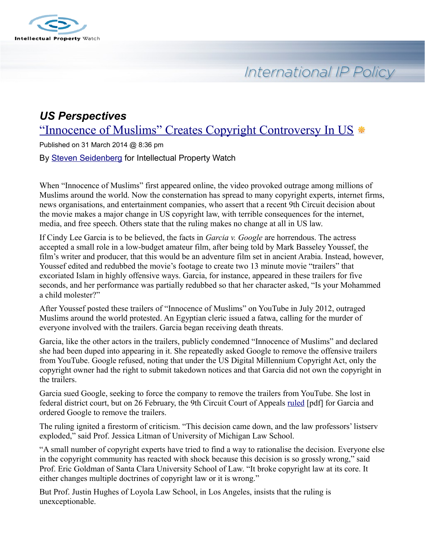

# International IP Policy

## *US Perspectives* ["Innocence of Muslims" Creates Copyright Controversy In US](http://www.ip-watch.org/2014/03/31/innocence-of-muslims-creates-copyright-controversy-in-us/) \*

Published on 31 March 2014 @ 8:36 pm

By [Steven Seidenberg](http://www.ip-watch.org/author/sseidenberg/) for Intellectual Property Watch

When "Innocence of Muslims" first appeared online, the video provoked outrage among millions of Muslims around the world. Now the consternation has spread to many copyright experts, internet firms, news organisations, and entertainment companies, who assert that a recent 9th Circuit decision about the movie makes a major change in US copyright law, with terrible consequences for the internet, media, and free speech. Others state that the ruling makes no change at all in US law.

If Cindy Lee Garcia is to be believed, the facts in *Garcia v. Google* are horrendous. The actress accepted a small role in a low-budget amateur film, after being told by Mark Basseley Youssef, the film's writer and producer, that this would be an adventure film set in ancient Arabia. Instead, however, Youssef edited and redubbed the movie's footage to create two 13 minute movie "trailers" that excoriated Islam in highly offensive ways. Garcia, for instance, appeared in these trailers for five seconds, and her performance was partially redubbed so that her character asked, "Is your Mohammed a child molester?"

After Youssef posted these trailers of "Innocence of Muslims" on YouTube in July 2012, outraged Muslims around the world protested. An Egyptian cleric issued a fatwa, calling for the murder of everyone involved with the trailers. Garcia began receiving death threats.

Garcia, like the other actors in the trailers, publicly condemned "Innocence of Muslims" and declared she had been duped into appearing in it. She repeatedly asked Google to remove the offensive trailers from YouTube. Google refused, noting that under the US Digital Millennium Copyright Act, only the copyright owner had the right to submit takedown notices and that Garcia did not own the copyright in the trailers.

Garcia sued Google, seeking to force the company to remove the trailers from YouTube. She lost in federal district court, but on 26 February, the 9th Circuit Court of Appeals [ruled](http://cdn.ca9.uscourts.gov/datastore/opinions/2014/02/26/12-57302%20web%20revised.pdf) [pdf] for Garcia and ordered Google to remove the trailers.

The ruling ignited a firestorm of criticism. "This decision came down, and the law professors' listserv exploded," said Prof. Jessica Litman of University of Michigan Law School.

"A small number of copyright experts have tried to find a way to rationalise the decision. Everyone else in the copyright community has reacted with shock because this decision is so grossly wrong," said Prof. Eric Goldman of Santa Clara University School of Law. "It broke copyright law at its core. It either changes multiple doctrines of copyright law or it is wrong."

But Prof. Justin Hughes of Loyola Law School, in Los Angeles, insists that the ruling is unexceptionable.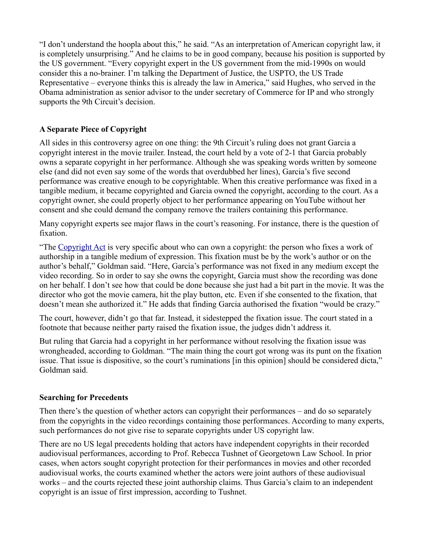"I don't understand the hoopla about this," he said. "As an interpretation of American copyright law, it is completely unsurprising." And he claims to be in good company, because his position is supported by the US government. "Every copyright expert in the US government from the mid-1990s on would consider this a no-brainer. I'm talking the Department of Justice, the USPTO, the US Trade Representative – everyone thinks this is already the law in America," said Hughes, who served in the Obama administration as senior advisor to the under secretary of Commerce for IP and who strongly supports the 9th Circuit's decision.

#### **A Separate Piece of Copyright**

All sides in this controversy agree on one thing: the 9th Circuit's ruling does not grant Garcia a copyright interest in the movie trailer. Instead, the court held by a vote of 2-1 that Garcia probably owns a separate copyright in her performance. Although she was speaking words written by someone else (and did not even say some of the words that overdubbed her lines), Garcia's five second performance was creative enough to be copyrightable. When this creative performance was fixed in a tangible medium, it became copyrighted and Garcia owned the copyright, according to the court. As a copyright owner, she could properly object to her performance appearing on YouTube without her consent and she could demand the company remove the trailers containing this performance.

Many copyright experts see major flaws in the court's reasoning. For instance, there is the question of fixation.

"The [Copyright Act](http://www.copyright.gov/title17/92chap1.html#102) is very specific about who can own a copyright: the person who fixes a work of authorship in a tangible medium of expression. This fixation must be by the work's author or on the author's behalf," Goldman said. "Here, Garcia's performance was not fixed in any medium except the video recording. So in order to say she owns the copyright, Garcia must show the recording was done on her behalf. I don't see how that could be done because she just had a bit part in the movie. It was the director who got the movie camera, hit the play button, etc. Even if she consented to the fixation, that doesn't mean she authorized it." He adds that finding Garcia authorised the fixation "would be crazy."

The court, however, didn't go that far. Instead, it sidestepped the fixation issue. The court stated in a footnote that because neither party raised the fixation issue, the judges didn't address it.

But ruling that Garcia had a copyright in her performance without resolving the fixation issue was wrongheaded, according to Goldman. "The main thing the court got wrong was its punt on the fixation issue. That issue is dispositive, so the court's ruminations [in this opinion] should be considered dicta," Goldman said.

#### **Searching for Precedents**

Then there's the question of whether actors can copyright their performances – and do so separately from the copyrights in the video recordings containing those performances. According to many experts, such performances do not give rise to separate copyrights under US copyright law.

There are no US legal precedents holding that actors have independent copyrights in their recorded audiovisual performances, according to Prof. Rebecca Tushnet of Georgetown Law School. In prior cases, when actors sought copyright protection for their performances in movies and other recorded audiovisual works, the courts examined whether the actors were joint authors of these audiovisual works – and the courts rejected these joint authorship claims. Thus Garcia's claim to an independent copyright is an issue of first impression, according to Tushnet.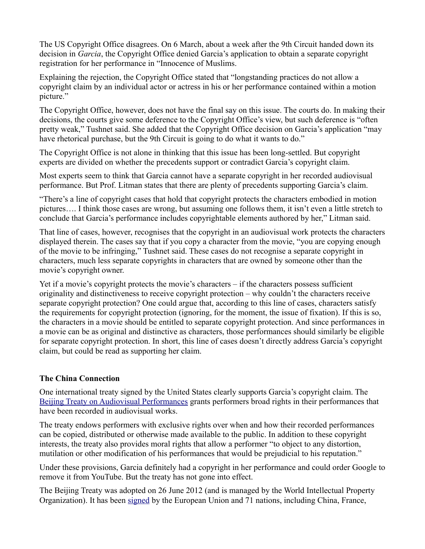The US Copyright Office disagrees. On 6 March, about a week after the 9th Circuit handed down its decision in *Garcia*, the Copyright Office denied Garcia's application to obtain a separate copyright registration for her performance in "Innocence of Muslims.

Explaining the rejection, the Copyright Office stated that "longstanding practices do not allow a copyright claim by an individual actor or actress in his or her performance contained within a motion picture."

The Copyright Office, however, does not have the final say on this issue. The courts do. In making their decisions, the courts give some deference to the Copyright Office's view, but such deference is "often pretty weak," Tushnet said. She added that the Copyright Office decision on Garcia's application "may have rhetorical purchase, but the 9th Circuit is going to do what it wants to do."

The Copyright Office is not alone in thinking that this issue has been long-settled. But copyright experts are divided on whether the precedents support or contradict Garcia's copyright claim.

Most experts seem to think that Garcia cannot have a separate copyright in her recorded audiovisual performance. But Prof. Litman states that there are plenty of precedents supporting Garcia's claim.

"There's a line of copyright cases that hold that copyright protects the characters embodied in motion pictures…. I think those cases are wrong, but assuming one follows them, it isn't even a little stretch to conclude that Garcia's performance includes copyrightable elements authored by her," Litman said.

That line of cases, however, recognises that the copyright in an audiovisual work protects the characters displayed therein. The cases say that if you copy a character from the movie, "you are copying enough of the movie to be infringing," Tushnet said. These cases do not recognise a separate copyright in characters, much less separate copyrights in characters that are owned by someone other than the movie's copyright owner.

Yet if a movie's copyright protects the movie's characters – if the characters possess sufficient originality and distinctiveness to receive copyright protection – why couldn't the characters receive separate copyright protection? One could argue that, according to this line of cases, characters satisfy the requirements for copyright protection (ignoring, for the moment, the issue of fixation). If this is so, the characters in a movie should be entitled to separate copyright protection. And since performances in a movie can be as original and distinctive as characters, those performances should similarly be eligible for separate copyright protection. In short, this line of cases doesn't directly address Garcia's copyright claim, but could be read as supporting her claim.

#### **The China Connection**

One international treaty signed by the United States clearly supports Garcia's copyright claim. The [Beijing Treaty on Audiovisual Performances](http://www.wipo.int/treaties/en/text.jsp?file_id=295837) grants performers broad rights in their performances that have been recorded in audiovisual works.

The treaty endows performers with exclusive rights over when and how their recorded performances can be copied, distributed or otherwise made available to the public. In addition to these copyright interests, the treaty also provides moral rights that allow a performer "to object to any distortion, mutilation or other modification of his performances that would be prejudicial to his reputation."

Under these provisions, Garcia definitely had a copyright in her performance and could order Google to remove it from YouTube. But the treaty has not gone into effect.

The Beijing Treaty was adopted on 26 June 2012 (and is managed by the World Intellectual Property Organization). It has been [signed](http://www.wipo.int/treaties/en/ShowResults.jsp?lang=en&treaty_id=841) by the European Union and 71 nations, including China, France,